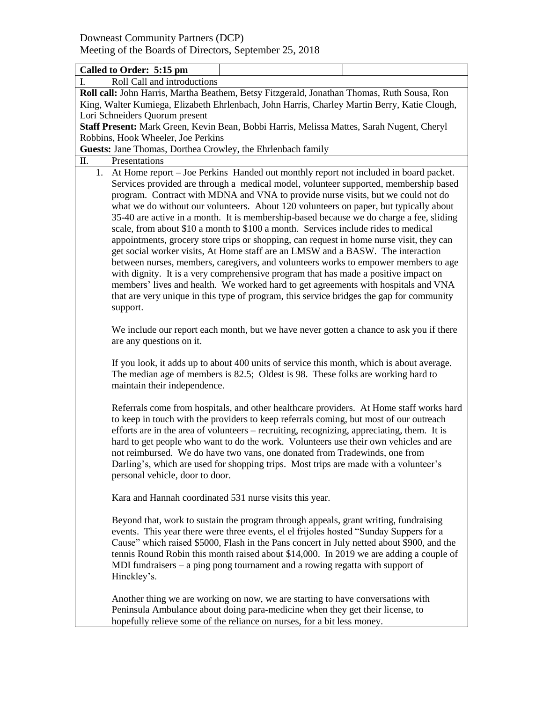| Called to Order: 5:15 pm                                                                                                                                                                                                                                                                                                                                                                                                                                                                                                                                                                                                                                                                                                                                                                                                                                                                                                                                                                                                                                                                                 |  |  |  |  |                                                         |  |
|----------------------------------------------------------------------------------------------------------------------------------------------------------------------------------------------------------------------------------------------------------------------------------------------------------------------------------------------------------------------------------------------------------------------------------------------------------------------------------------------------------------------------------------------------------------------------------------------------------------------------------------------------------------------------------------------------------------------------------------------------------------------------------------------------------------------------------------------------------------------------------------------------------------------------------------------------------------------------------------------------------------------------------------------------------------------------------------------------------|--|--|--|--|---------------------------------------------------------|--|
| Roll Call and introductions<br>L.                                                                                                                                                                                                                                                                                                                                                                                                                                                                                                                                                                                                                                                                                                                                                                                                                                                                                                                                                                                                                                                                        |  |  |  |  |                                                         |  |
| Roll call: John Harris, Martha Beathem, Betsy Fitzgerald, Jonathan Thomas, Ruth Sousa, Ron                                                                                                                                                                                                                                                                                                                                                                                                                                                                                                                                                                                                                                                                                                                                                                                                                                                                                                                                                                                                               |  |  |  |  |                                                         |  |
| King, Walter Kumiega, Elizabeth Ehrlenbach, John Harris, Charley Martin Berry, Katie Clough,                                                                                                                                                                                                                                                                                                                                                                                                                                                                                                                                                                                                                                                                                                                                                                                                                                                                                                                                                                                                             |  |  |  |  |                                                         |  |
| Lori Schneiders Quorum present                                                                                                                                                                                                                                                                                                                                                                                                                                                                                                                                                                                                                                                                                                                                                                                                                                                                                                                                                                                                                                                                           |  |  |  |  |                                                         |  |
| Staff Present: Mark Green, Kevin Bean, Bobbi Harris, Melissa Mattes, Sarah Nugent, Cheryl                                                                                                                                                                                                                                                                                                                                                                                                                                                                                                                                                                                                                                                                                                                                                                                                                                                                                                                                                                                                                |  |  |  |  |                                                         |  |
| Robbins, Hook Wheeler, Joe Perkins                                                                                                                                                                                                                                                                                                                                                                                                                                                                                                                                                                                                                                                                                                                                                                                                                                                                                                                                                                                                                                                                       |  |  |  |  |                                                         |  |
| Guests: Jane Thomas, Dorthea Crowley, the Ehrlenbach family                                                                                                                                                                                                                                                                                                                                                                                                                                                                                                                                                                                                                                                                                                                                                                                                                                                                                                                                                                                                                                              |  |  |  |  |                                                         |  |
| Π.<br>Presentations                                                                                                                                                                                                                                                                                                                                                                                                                                                                                                                                                                                                                                                                                                                                                                                                                                                                                                                                                                                                                                                                                      |  |  |  |  |                                                         |  |
| 1. At Home report – Joe Perkins Handed out monthly report not included in board packet.<br>Services provided are through a medical model, volunteer supported, membership based<br>program. Contract with MDNA and VNA to provide nurse visits, but we could not do<br>what we do without our volunteers. About 120 volunteers on paper, but typically about<br>35-40 are active in a month. It is membership-based because we do charge a fee, sliding<br>scale, from about \$10 a month to \$100 a month. Services include rides to medical<br>appointments, grocery store trips or shopping, can request in home nurse visit, they can<br>get social worker visits, At Home staff are an LMSW and a BASW. The interaction<br>between nurses, members, caregivers, and volunteers works to empower members to age<br>with dignity. It is a very comprehensive program that has made a positive impact on<br>members' lives and health. We worked hard to get agreements with hospitals and VNA<br>that are very unique in this type of program, this service bridges the gap for community<br>support. |  |  |  |  |                                                         |  |
| We include our report each month, but we have never gotten a chance to ask you if there<br>are any questions on it.<br>If you look, it adds up to about 400 units of service this month, which is about average.<br>The median age of members is 82.5; Oldest is 98. These folks are working hard to<br>maintain their independence.<br>Referrals come from hospitals, and other healthcare providers. At Home staff works hard<br>to keep in touch with the providers to keep referrals coming, but most of our outreach<br>efforts are in the area of volunteers – recruiting, recognizing, appreciating, them. It is<br>hard to get people who want to do the work. Volunteers use their own vehicles and are<br>not reimbursed. We do have two vans, one donated from Tradewinds, one from<br>Darling's, which are used for shopping trips. Most trips are made with a volunteer's<br>personal vehicle, door to door.                                                                                                                                                                                |  |  |  |  |                                                         |  |
|                                                                                                                                                                                                                                                                                                                                                                                                                                                                                                                                                                                                                                                                                                                                                                                                                                                                                                                                                                                                                                                                                                          |  |  |  |  | Kara and Hannah coordinated 531 nurse visits this year. |  |
| Beyond that, work to sustain the program through appeals, grant writing, fundraising<br>events. This year there were three events, el el frijoles hosted "Sunday Suppers for a<br>Cause" which raised \$5000, Flash in the Pans concert in July netted about \$900, and the<br>tennis Round Robin this month raised about \$14,000. In 2019 we are adding a couple of<br>MDI fundraisers $-$ a ping pong tournament and a rowing regatta with support of<br>Hinckley's.                                                                                                                                                                                                                                                                                                                                                                                                                                                                                                                                                                                                                                  |  |  |  |  |                                                         |  |
| Another thing we are working on now, we are starting to have conversations with<br>Peninsula Ambulance about doing para-medicine when they get their license, to<br>hopefully relieve some of the reliance on nurses, for a bit less money.                                                                                                                                                                                                                                                                                                                                                                                                                                                                                                                                                                                                                                                                                                                                                                                                                                                              |  |  |  |  |                                                         |  |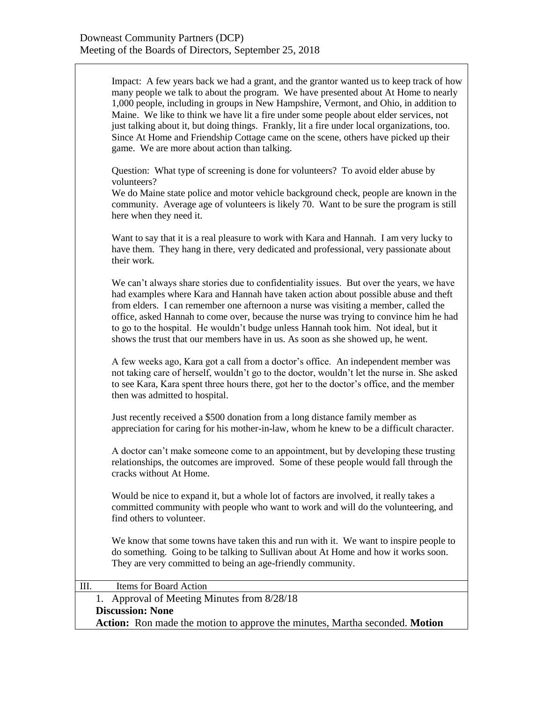| Impact: A few years back we had a grant, and the grantor wanted us to keep track of how<br>many people we talk to about the program. We have presented about At Home to nearly<br>1,000 people, including in groups in New Hampshire, Vermont, and Ohio, in addition to<br>Maine. We like to think we have lit a fire under some people about elder services, not<br>just talking about it, but doing things. Frankly, lit a fire under local organizations, too.<br>Since At Home and Friendship Cottage came on the scene, others have picked up their<br>game. We are more about action than talking. |  |  |  |  |  |  |
|----------------------------------------------------------------------------------------------------------------------------------------------------------------------------------------------------------------------------------------------------------------------------------------------------------------------------------------------------------------------------------------------------------------------------------------------------------------------------------------------------------------------------------------------------------------------------------------------------------|--|--|--|--|--|--|
| Question: What type of screening is done for volunteers? To avoid elder abuse by<br>volunteers?<br>We do Maine state police and motor vehicle background check, people are known in the<br>community. Average age of volunteers is likely 70. Want to be sure the program is still<br>here when they need it.                                                                                                                                                                                                                                                                                            |  |  |  |  |  |  |
| Want to say that it is a real pleasure to work with Kara and Hannah. I am very lucky to<br>have them. They hang in there, very dedicated and professional, very passionate about<br>their work.                                                                                                                                                                                                                                                                                                                                                                                                          |  |  |  |  |  |  |
| We can't always share stories due to confidentiality issues. But over the years, we have<br>had examples where Kara and Hannah have taken action about possible abuse and theft<br>from elders. I can remember one afternoon a nurse was visiting a member, called the<br>office, asked Hannah to come over, because the nurse was trying to convince him he had<br>to go to the hospital. He wouldn't budge unless Hannah took him. Not ideal, but it<br>shows the trust that our members have in us. As soon as she showed up, he went.                                                                |  |  |  |  |  |  |
| A few weeks ago, Kara got a call from a doctor's office. An independent member was<br>not taking care of herself, wouldn't go to the doctor, wouldn't let the nurse in. She asked<br>to see Kara, Kara spent three hours there, got her to the doctor's office, and the member<br>then was admitted to hospital.                                                                                                                                                                                                                                                                                         |  |  |  |  |  |  |
| Just recently received a \$500 donation from a long distance family member as<br>appreciation for caring for his mother-in-law, whom he knew to be a difficult character.                                                                                                                                                                                                                                                                                                                                                                                                                                |  |  |  |  |  |  |
| A doctor can't make someone come to an appointment, but by developing these trusting<br>relationships, the outcomes are improved. Some of these people would fall through the<br>cracks without At Home.                                                                                                                                                                                                                                                                                                                                                                                                 |  |  |  |  |  |  |
| Would be nice to expand it, but a whole lot of factors are involved, it really takes a<br>committed community with people who want to work and will do the volunteering, and<br>find others to volunteer.                                                                                                                                                                                                                                                                                                                                                                                                |  |  |  |  |  |  |
| We know that some towns have taken this and run with it. We want to inspire people to<br>do something. Going to be talking to Sullivan about At Home and how it works soon.<br>They are very committed to being an age-friendly community.                                                                                                                                                                                                                                                                                                                                                               |  |  |  |  |  |  |
| Items for Board Action<br>Ш.                                                                                                                                                                                                                                                                                                                                                                                                                                                                                                                                                                             |  |  |  |  |  |  |
| Approval of Meeting Minutes from 8/28/18<br>1.                                                                                                                                                                                                                                                                                                                                                                                                                                                                                                                                                           |  |  |  |  |  |  |
| <b>Discussion: None</b><br>Action: Ron made the motion to approve the minutes, Martha seconded. Motion                                                                                                                                                                                                                                                                                                                                                                                                                                                                                                   |  |  |  |  |  |  |
|                                                                                                                                                                                                                                                                                                                                                                                                                                                                                                                                                                                                          |  |  |  |  |  |  |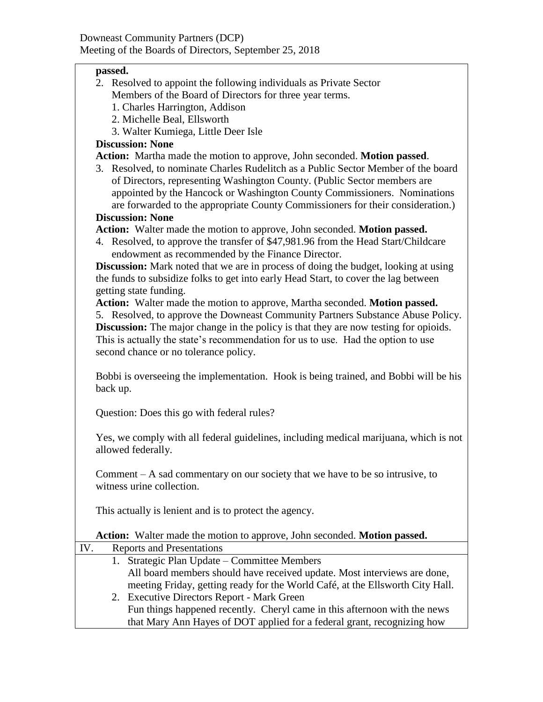## **passed.**

- 2. Resolved to appoint the following individuals as Private Sector Members of the Board of Directors for three year terms.
	- 1. Charles Harrington, Addison
	- 2. Michelle Beal, Ellsworth
	- 3. Walter Kumiega, Little Deer Isle

## **Discussion: None**

**Action:** Martha made the motion to approve, John seconded. **Motion passed**.

3. Resolved, to nominate Charles Rudelitch as a Public Sector Member of the board of Directors, representing Washington County. (Public Sector members are appointed by the Hancock or Washington County Commissioners. Nominations are forwarded to the appropriate County Commissioners for their consideration.)

## **Discussion: None**

**Action:** Walter made the motion to approve, John seconded. **Motion passed.**

4. Resolved, to approve the transfer of \$47,981.96 from the Head Start/Childcare endowment as recommended by the Finance Director.

**Discussion:** Mark noted that we are in process of doing the budget, looking at using the funds to subsidize folks to get into early Head Start, to cover the lag between getting state funding.

**Action:** Walter made the motion to approve, Martha seconded. **Motion passed.**

5. Resolved, to approve the Downeast Community Partners Substance Abuse Policy. **Discussion:** The major change in the policy is that they are now testing for opioids. This is actually the state's recommendation for us to use. Had the option to use second chance or no tolerance policy.

Bobbi is overseeing the implementation. Hook is being trained, and Bobbi will be his back up.

Question: Does this go with federal rules?

Yes, we comply with all federal guidelines, including medical marijuana, which is not allowed federally.

Comment – A sad commentary on our society that we have to be so intrusive, to witness urine collection.

This actually is lenient and is to protect the agency.

**Action:** Walter made the motion to approve, John seconded. **Motion passed.**

| IV. | <b>Reports and Presentations</b>                                              |
|-----|-------------------------------------------------------------------------------|
|     | 1. Strategic Plan Update – Committee Members                                  |
|     | All board members should have received update. Most interviews are done,      |
|     | meeting Friday, getting ready for the World Café, at the Ellsworth City Hall. |
|     | 2. Executive Directors Report - Mark Green                                    |
|     | Fun things happened recently. Cheryl came in this afternoon with the news     |
|     | that Mary Ann Hayes of DOT applied for a federal grant, recognizing how       |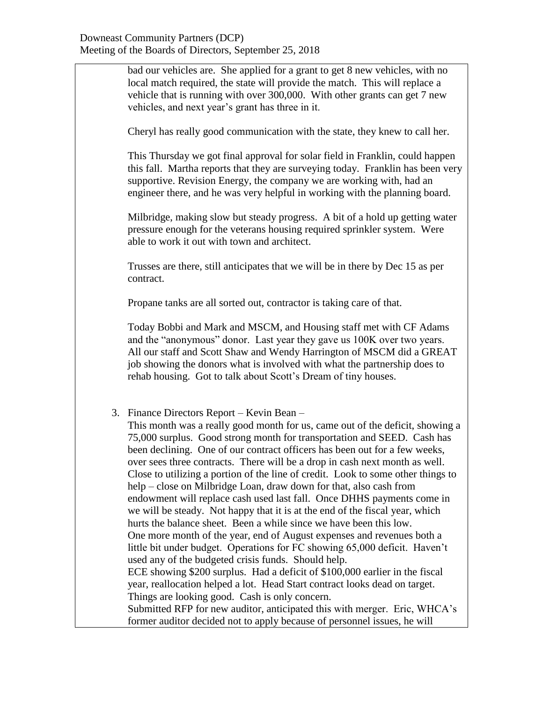bad our vehicles are. She applied for a grant to get 8 new vehicles, with no local match required, the state will provide the match. This will replace a vehicle that is running with over 300,000. With other grants can get 7 new vehicles, and next year's grant has three in it.

Cheryl has really good communication with the state, they knew to call her.

This Thursday we got final approval for solar field in Franklin, could happen this fall. Martha reports that they are surveying today. Franklin has been very supportive. Revision Energy, the company we are working with, had an engineer there, and he was very helpful in working with the planning board.

Milbridge, making slow but steady progress. A bit of a hold up getting water pressure enough for the veterans housing required sprinkler system. Were able to work it out with town and architect.

Trusses are there, still anticipates that we will be in there by Dec 15 as per contract.

Propane tanks are all sorted out, contractor is taking care of that.

Today Bobbi and Mark and MSCM, and Housing staff met with CF Adams and the "anonymous" donor. Last year they gave us 100K over two years. All our staff and Scott Shaw and Wendy Harrington of MSCM did a GREAT job showing the donors what is involved with what the partnership does to rehab housing. Got to talk about Scott's Dream of tiny houses.

3. Finance Directors Report – Kevin Bean –

This month was a really good month for us, came out of the deficit, showing a 75,000 surplus. Good strong month for transportation and SEED. Cash has been declining. One of our contract officers has been out for a few weeks, over sees three contracts. There will be a drop in cash next month as well. Close to utilizing a portion of the line of credit. Look to some other things to help – close on Milbridge Loan, draw down for that, also cash from endowment will replace cash used last fall. Once DHHS payments come in we will be steady. Not happy that it is at the end of the fiscal year, which hurts the balance sheet. Been a while since we have been this low. One more month of the year, end of August expenses and revenues both a little bit under budget. Operations for FC showing 65,000 deficit. Haven't used any of the budgeted crisis funds. Should help. ECE showing \$200 surplus. Had a deficit of \$100,000 earlier in the fiscal year, reallocation helped a lot. Head Start contract looks dead on target. Things are looking good. Cash is only concern. Submitted RFP for new auditor, anticipated this with merger. Eric, WHCA's former auditor decided not to apply because of personnel issues, he will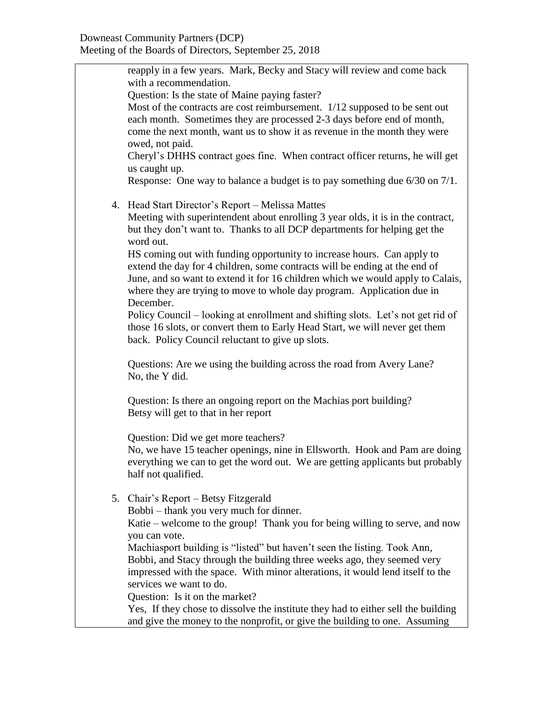reapply in a few years. Mark, Becky and Stacy will review and come back with a recommendation. Question: Is the state of Maine paying faster? Most of the contracts are cost reimbursement. 1/12 supposed to be sent out each month. Sometimes they are processed 2-3 days before end of month, come the next month, want us to show it as revenue in the month they were owed, not paid. Cheryl's DHHS contract goes fine. When contract officer returns, he will get us caught up. Response: One way to balance a budget is to pay something due 6/30 on 7/1. 4. Head Start Director's Report – Melissa Mattes Meeting with superintendent about enrolling 3 year olds, it is in the contract, but they don't want to. Thanks to all DCP departments for helping get the word out. HS coming out with funding opportunity to increase hours. Can apply to extend the day for 4 children, some contracts will be ending at the end of June, and so want to extend it for 16 children which we would apply to Calais, where they are trying to move to whole day program. Application due in December. Policy Council – looking at enrollment and shifting slots. Let's not get rid of those 16 slots, or convert them to Early Head Start, we will never get them back. Policy Council reluctant to give up slots. Questions: Are we using the building across the road from Avery Lane? No, the Y did. Question: Is there an ongoing report on the Machias port building? Betsy will get to that in her report Question: Did we get more teachers? No, we have 15 teacher openings, nine in Ellsworth. Hook and Pam are doing everything we can to get the word out. We are getting applicants but probably half not qualified. 5. Chair's Report – Betsy Fitzgerald Bobbi – thank you very much for dinner. Katie – welcome to the group! Thank you for being willing to serve, and now you can vote. Machiasport building is "listed" but haven't seen the listing. Took Ann, Bobbi, and Stacy through the building three weeks ago, they seemed very impressed with the space. With minor alterations, it would lend itself to the services we want to do. Question: Is it on the market? Yes, If they chose to dissolve the institute they had to either sell the building and give the money to the nonprofit, or give the building to one. Assuming